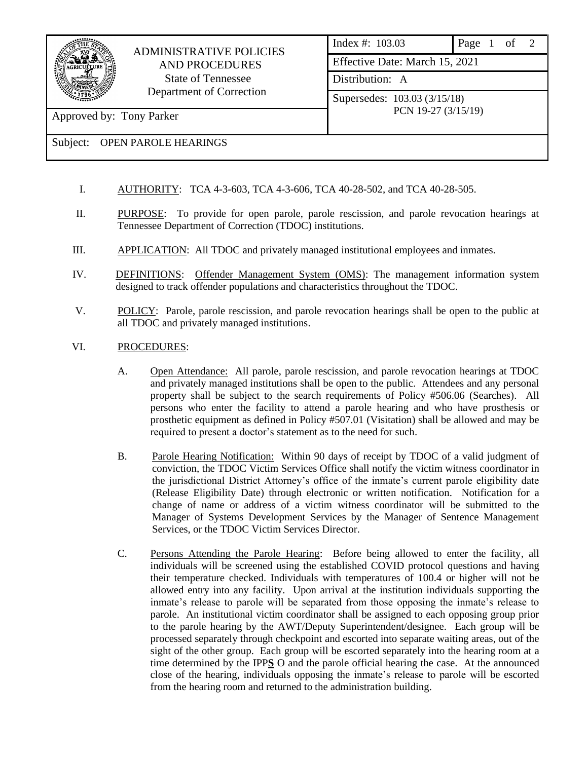

## ADMINISTRATIVE POLICIES AND PROCEDURES State of Tennessee Department of Correction

Index #: 103.03 Page 1 of 2 Effective Date: March 15, 2021 Distribution: A Supersedes: 103.03 (3/15/18) PCN 19-27 (3/15/19)

Approved by: Tony Parker

## Subject: OPEN PAROLE HEARINGS

- I. AUTHORITY: TCA 4-3-603, TCA 4-3-606, TCA 40-28-502, and TCA 40-28-505.
- II. PURPOSE: To provide for open parole, parole rescission, and parole revocation hearings at Tennessee Department of Correction (TDOC) institutions.
- III. APPLICATION: All TDOC and privately managed institutional employees and inmates.
- IV. DEFINITIONS: Offender Management System (OMS): The management information system designed to track offender populations and characteristics throughout the TDOC.
- V. POLICY: Parole, parole rescission, and parole revocation hearings shall be open to the public at all TDOC and privately managed institutions.
- VI. PROCEDURES:
	- A. Open Attendance: All parole, parole rescission, and parole revocation hearings at TDOC and privately managed institutions shall be open to the public. Attendees and any personal property shall be subject to the search requirements of Policy #506.06 (Searches). All persons who enter the facility to attend a parole hearing and who have prosthesis or prosthetic equipment as defined in Policy #507.01 (Visitation) shall be allowed and may be required to present a doctor's statement as to the need for such.
	- B. Parole Hearing Notification: Within 90 days of receipt by TDOC of a valid judgment of conviction, the TDOC Victim Services Office shall notify the victim witness coordinator in the jurisdictional District Attorney's office of the inmate's current parole eligibility date (Release Eligibility Date) through electronic or written notification. Notification for a change of name or address of a victim witness coordinator will be submitted to the Manager of Systems Development Services by the Manager of Sentence Management Services, or the TDOC Victim Services Director.
	- C. Persons Attending the Parole Hearing: Before being allowed to enter the facility, all individuals will be screened using the established COVID protocol questions and having their temperature checked. Individuals with temperatures of 100.4 or higher will not be allowed entry into any facility. Upon arrival at the institution individuals supporting the inmate's release to parole will be separated from those opposing the inmate's release to parole. An institutional victim coordinator shall be assigned to each opposing group prior to the parole hearing by the AWT/Deputy Superintendent/designee. Each group will be processed separately through checkpoint and escorted into separate waiting areas, out of the sight of the other group. Each group will be escorted separately into the hearing room at a time determined by the IPPS  $\Theta$  and the parole official hearing the case. At the announced close of the hearing, individuals opposing the inmate's release to parole will be escorted from the hearing room and returned to the administration building.